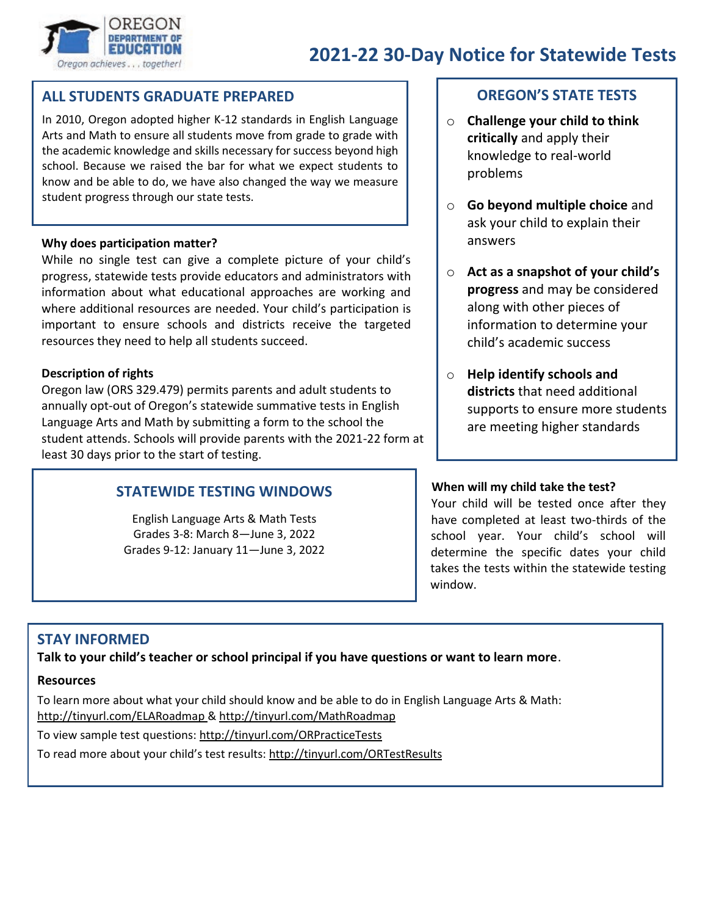

## **2021-22 30-Day Notice for Statewide Tests**

# *Oregon achieves...* together!<br>**ALL STUDENTS GRADUATE PREPARED**

In 2010, Oregon adopted higher K-12 standards in English Language Arts and Math to ensure all students move from grade to grade with the academic knowledge and skills necessary for success beyond high school. Because we raised the bar for what we expect students to know and be able to do, we have also changed the way we measure student progress through our state tests.

#### **Why does participation matter?**

While no single test can give a complete picture of your child's progress, statewide tests provide educators and administrators with information about what educational approaches are working and where additional resources are needed. Your child's participation is important to ensure schools and districts receive the targeted resources they need to help all students succeed.

#### **Description of rights**

Oregon law (ORS 329.479) permits parents and adult students to annually opt-out of Oregon's statewide summative tests in English Language Arts and Math by submitting a form to the school the student attends. Schools will provide parents with the 2021-22 form at least 30 days prior to the start of testing.

#### **OREGON'S STATE TESTS**

- o **Challenge your child to think critically** and apply their knowledge to real-world problems
- o **Go beyond multiple choice** and ask your child to explain their answers
- o **Act as a snapshot of your child's progress** and may be considered along with other pieces of information to determine your child's academic success
- o **Help identify schools and districts** that need additional supports to ensure more students are meeting higher standards

#### STATEWIDE TESTING WINDOWS WINDOWS

Your child will be tested once after they English Language Arts & Math Tests have completed at least two-thirds of the Grades 3-8: March 8—June 3, 2022 <br>
School year. Your child's school will Grades 9-12: January 11—June 3, 2022 **determine the specific dates your child** takes the tests within the statewide testing window.

#### **STAY INFORMED**

**Talk to your child's teacher or school principal if you have questions or want to learn more**.

#### **Resources**

To learn more about what your child should know and be able to do in English Language Arts & Math: <http://tinyurl.com/ELARoadmap>[& http://tinyurl.com/MathRoadmap](http://tinyurl.com/MathRoadmap) 

To view sample test questions[: http://tinyurl.com/ORPracticeTests](http://tinyurl.com/ORPracticeTests) 

To read more about your child's test results[: http://tinyurl.com/ORTestResults](http://tinyurl.com/ORTestResults)